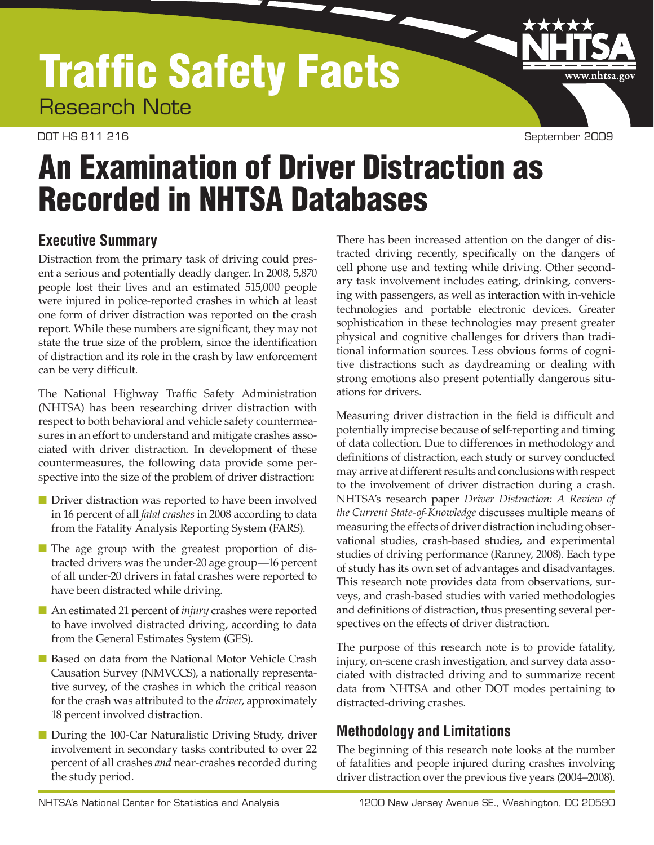# Traffic Safety Facts Research Note

#### DOT HS 811 216 September 2009

www.nhtsa.gov

# An Examination of Driver Distraction as Recorded in NHTSA Databases

# **Executive Summary**

Distraction from the primary task of driving could present a serious and potentially deadly danger. In 2008, 5,870 people lost their lives and an estimated 515,000 people were injured in police-reported crashes in which at least one form of driver distraction was reported on the crash report. While these numbers are significant, they may not state the true size of the problem, since the identification of distraction and its role in the crash by law enforcement can be very difficult.

The National Highway Traffic Safety Administration (NHTSA) has been researching driver distraction with respect to both behavioral and vehicle safety countermeasures in an effort to understand and mitigate crashes associated with driver distraction. In development of these countermeasures, the following data provide some perspective into the size of the problem of driver distraction:

- Driver distraction was reported to have been involved in 16 percent of all *fatal crashes* in 2008 according to data from the Fatality Analysis Reporting System (FARS).
- The age group with the greatest proportion of distracted drivers was the under-20 age group—16 percent of all under-20 drivers in fatal crashes were reported to have been distracted while driving.
- An estimated 21 percent of *injury* crashes were reported to have involved distracted driving, according to data from the General Estimates System (GES).
- Based on data from the National Motor Vehicle Crash Causation Survey (NMVCCS), a nationally representative survey, of the crashes in which the critical reason for the crash was attributed to the *driver*, approximately 18 percent involved distraction.
- During the 100-Car Naturalistic Driving Study, driver involvement in secondary tasks contributed to over 22 percent of all crashes *and* near-crashes recorded during the study period.

There has been increased attention on the danger of distracted driving recently, specifically on the dangers of cell phone use and texting while driving. Other secondary task involvement includes eating, drinking, conversing with passengers, as well as interaction with in-vehicle technologies and portable electronic devices. Greater sophistication in these technologies may present greater physical and cognitive challenges for drivers than traditional information sources. Less obvious forms of cognitive distractions such as daydreaming or dealing with strong emotions also present potentially dangerous situations for drivers.

Measuring driver distraction in the field is difficult and potentially imprecise because of self-reporting and timing of data collection. Due to differences in methodology and definitions of distraction, each study or survey conducted may arrive at different results and conclusions with respect to the involvement of driver distraction during a crash. NHTSA's research paper *Driver Distraction: A Review of the Current State-of-Knowledge* discusses multiple means of measuring the effects of driver distraction including observational studies, crash-based studies, and experimental studies of driving performance (Ranney, 2008). Each type of study has its own set of advantages and disadvantages. This research note provides data from observations, surveys, and crash-based studies with varied methodologies and definitions of distraction, thus presenting several perspectives on the effects of driver distraction.

The purpose of this research note is to provide fatality, injury, on-scene crash investigation, and survey data associated with distracted driving and to summarize recent data from NHTSA and other DOT modes pertaining to distracted-driving crashes.

# **Methodology and Limitations**

The beginning of this research note looks at the number of fatalities and people injured during crashes involving driver distraction over the previous five years (2004–2008).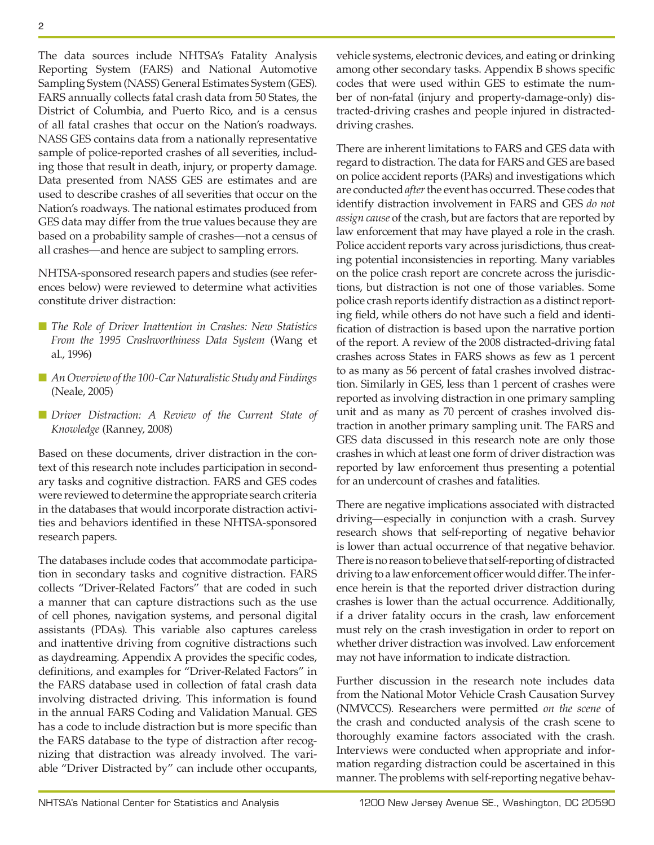The data sources include NHTSA's Fatality Analysis Reporting System (FARS) and National Automotive Sampling System (NASS) General Estimates System (GES). FARS annually collects fatal crash data from 50 States, the District of Columbia, and Puerto Rico, and is a census of all fatal crashes that occur on the Nation's roadways. NASS GES contains data from a nationally representative sample of police-reported crashes of all severities, including those that result in death, injury, or property damage. Data presented from NASS GES are estimates and are used to describe crashes of all severities that occur on the Nation's roadways. The national estimates produced from GES data may differ from the true values because they are based on a probability sample of crashes—not a census of all crashes—and hence are subject to sampling errors.

NHTSA-sponsored research papers and studies (see references below) were reviewed to determine what activities constitute driver distraction:

- *The Role of Driver Inattention in Crashes: New Statistics From the 1995 Crashworthiness Data System* (Wang et al., 1996)
- *An Overview of the 100-Car Naturalistic Study and Findings* (Neale, 2005)
- *Driver Distraction: A Review of the Current State of Knowledge* (Ranney, 2008)

Based on these documents, driver distraction in the context of this research note includes participation in secondary tasks and cognitive distraction. FARS and GES codes were reviewed to determine the appropriate search criteria in the databases that would incorporate distraction activities and behaviors identified in these NHTSA-sponsored research papers.

The databases include codes that accommodate participation in secondary tasks and cognitive distraction. FARS collects "Driver-Related Factors" that are coded in such a manner that can capture distractions such as the use of cell phones, navigation systems, and personal digital assistants (PDAs). This variable also captures careless and inattentive driving from cognitive distractions such as daydreaming. Appendix A provides the specific codes, definitions, and examples for "Driver-Related Factors" in the FARS database used in collection of fatal crash data involving distracted driving. This information is found in the annual FARS Coding and Validation Manual. GES has a code to include distraction but is more specific than the FARS database to the type of distraction after recognizing that distraction was already involved. The variable "Driver Distracted by" can include other occupants,

vehicle systems, electronic devices, and eating or drinking among other secondary tasks. Appendix B shows specific codes that were used within GES to estimate the number of non-fatal (injury and property-damage-only) distracted-driving crashes and people injured in distracteddriving crashes.

There are inherent limitations to FARS and GES data with regard to distraction. The data for FARS and GES are based on police accident reports (PARs) and investigations which are conducted *after* the event has occurred. These codes that identify distraction involvement in FARS and GES *do not assign cause* of the crash, but are factors that are reported by law enforcement that may have played a role in the crash. Police accident reports vary across jurisdictions, thus creating potential inconsistencies in reporting. Many variables on the police crash report are concrete across the jurisdictions, but distraction is not one of those variables. Some police crash reports identify distraction as a distinct reporting field, while others do not have such a field and identification of distraction is based upon the narrative portion of the report. A review of the 2008 distracted-driving fatal crashes across States in FARS shows as few as 1 percent to as many as 56 percent of fatal crashes involved distraction. Similarly in GES, less than 1 percent of crashes were reported as involving distraction in one primary sampling unit and as many as 70 percent of crashes involved distraction in another primary sampling unit. The FARS and GES data discussed in this research note are only those crashes in which at least one form of driver distraction was reported by law enforcement thus presenting a potential for an undercount of crashes and fatalities.

There are negative implications associated with distracted driving—especially in conjunction with a crash. Survey research shows that self-reporting of negative behavior is lower than actual occurrence of that negative behavior. There is no reason to believe that self-reporting of distracted driving to a law enforcement officer would differ. The inference herein is that the reported driver distraction during crashes is lower than the actual occurrence. Additionally, if a driver fatality occurs in the crash, law enforcement must rely on the crash investigation in order to report on whether driver distraction was involved. Law enforcement may not have information to indicate distraction.

Further discussion in the research note includes data from the National Motor Vehicle Crash Causation Survey (NMVCCS). Researchers were permitted *on the scene* of the crash and conducted analysis of the crash scene to thoroughly examine factors associated with the crash. Interviews were conducted when appropriate and information regarding distraction could be ascertained in this manner. The problems with self-reporting negative behav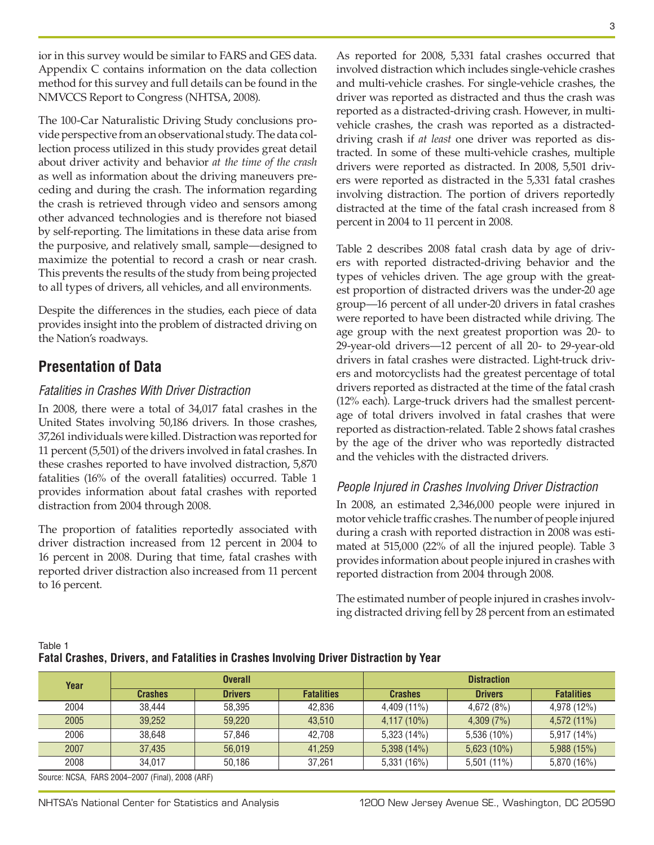ior in this survey would be similar to FARS and GES data. Appendix C contains information on the data collection method for this survey and full details can be found in the NMVCCS Report to Congress (NHTSA, 2008).

The 100-Car Naturalistic Driving Study conclusions provide perspective from an observational study. The data collection process utilized in this study provides great detail about driver activity and behavior *at the time of the crash*  as well as information about the driving maneuvers preceding and during the crash. The information regarding the crash is retrieved through video and sensors among other advanced technologies and is therefore not biased by self-reporting. The limitations in these data arise from the purposive, and relatively small, sample—designed to maximize the potential to record a crash or near crash. This prevents the results of the study from being projected to all types of drivers, all vehicles, and all environments.

Despite the differences in the studies, each piece of data provides insight into the problem of distracted driving on the Nation's roadways.

# **Presentation of Data**

### *Fatalities in Crashes With Driver Distraction*

In 2008, there were a total of 34,017 fatal crashes in the United States involving 50,186 drivers. In those crashes, 37,261 individuals were killed. Distraction was reported for 11 percent (5,501) of the drivers involved in fatal crashes. In these crashes reported to have involved distraction, 5,870 fatalities (16% of the overall fatalities) occurred. Table 1 provides information about fatal crashes with reported distraction from 2004 through 2008.

The proportion of fatalities reportedly associated with driver distraction increased from 12 percent in 2004 to 16 percent in 2008. During that time, fatal crashes with reported driver distraction also increased from 11 percent to 16 percent.

As reported for 2008, 5,331 fatal crashes occurred that involved distraction which includes single-vehicle crashes and multi-vehicle crashes. For single-vehicle crashes, the driver was reported as distracted and thus the crash was reported as a distracted-driving crash. However, in multivehicle crashes, the crash was reported as a distracteddriving crash if *at least* one driver was reported as distracted. In some of these multi-vehicle crashes, multiple drivers were reported as distracted. In 2008, 5,501 drivers were reported as distracted in the 5,331 fatal crashes involving distraction. The portion of drivers reportedly distracted at the time of the fatal crash increased from 8 percent in 2004 to 11 percent in 2008.

Table 2 describes 2008 fatal crash data by age of drivers with reported distracted-driving behavior and the types of vehicles driven. The age group with the greatest proportion of distracted drivers was the under-20 age group—16 percent of all under-20 drivers in fatal crashes were reported to have been distracted while driving. The age group with the next greatest proportion was 20- to 29-year-old drivers—12 percent of all 20- to 29-year-old drivers in fatal crashes were distracted. Light-truck drivers and motorcyclists had the greatest percentage of total drivers reported as distracted at the time of the fatal crash (12% each). Large-truck drivers had the smallest percentage of total drivers involved in fatal crashes that were reported as distraction-related. Table 2 shows fatal crashes by the age of the driver who was reportedly distracted and the vehicles with the distracted drivers.

### *People Injured in Crashes Involving Driver Distraction*

In 2008, an estimated 2,346,000 people were injured in motor vehicle traffic crashes. The number of people injured during a crash with reported distraction in 2008 was estimated at 515,000 (22% of all the injured people). Table 3 provides information about people injured in crashes with reported distraction from 2004 through 2008.

The estimated number of people injured in crashes involving distracted driving fell by 28 percent from an estimated

**Fatal Crashes, Drivers, and Fatalities in Crashes Involving Driver Distraction by Year**

| Year                                                                                      | <b>Overall</b> |                | <b>Distraction</b> |                |                |                   |
|-------------------------------------------------------------------------------------------|----------------|----------------|--------------------|----------------|----------------|-------------------|
|                                                                                           | <b>Crashes</b> | <b>Drivers</b> | <b>Fatalities</b>  | <b>Crashes</b> | <b>Drivers</b> | <b>Fatalities</b> |
| 2004                                                                                      | 38.444         | 58.395         | 42.836             | $4,409(11\%)$  | 4,672(8%)      | 4,978 (12%)       |
| 2005                                                                                      | 39.252         | 59,220         | 43.510             | $4,117(10\%)$  | 4,309(7%)      | 4,572 (11%)       |
| 2006                                                                                      | 38.648         | 57,846         | 42.708             | 5,323(14%)     | $5,536(10\%)$  | 5,917 (14%)       |
| 2007                                                                                      | 37.435         | 56.019         | 41.259             | 5,398 (14%)    | $5,623(10\%)$  | 5,988 (15%)       |
| 2008                                                                                      | 34.017         | 50.186         | 37.261             | 5,331 (16%)    | $5,501(11\%)$  | 5,870 (16%)       |
| $0.$ $0.0001$ $0.0004$ $0.007$ $(E^{\prime} \cup V^{\prime} \cap 0.000)$ $(BDE^{\prime})$ |                |                |                    |                |                |                   |

Source: NCSA, FARS 2004–2007 (Final), 2008 (ARF)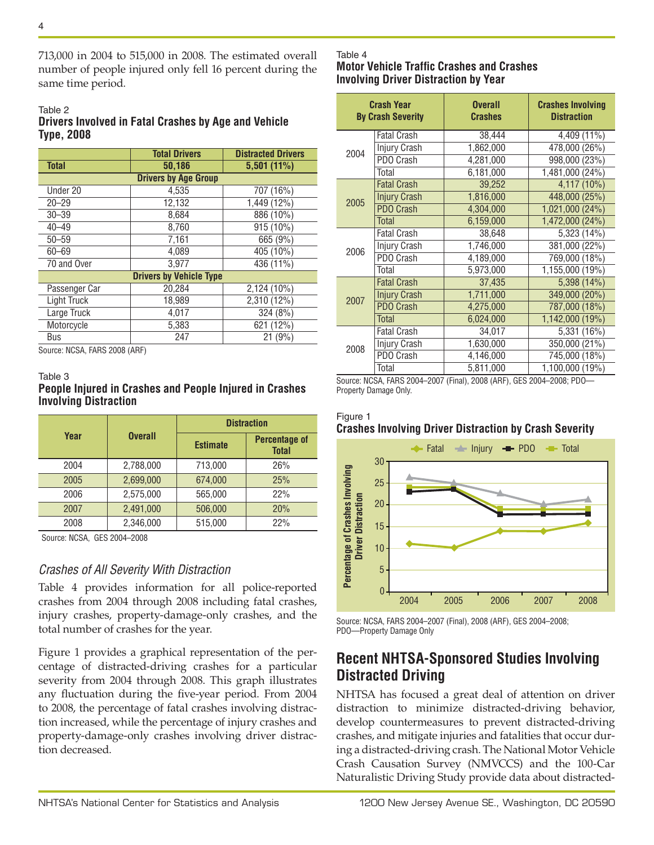713,000 in 2004 to 515,000 in 2008. The estimated overall number of people injured only fell 16 percent during the same time period.

#### Table 2

### **Drivers Involved in Fatal Crashes by Age and Vehicle Type, 2008**

|                                | <b>Total Drivers</b> | <b>Distracted Drivers</b> |
|--------------------------------|----------------------|---------------------------|
| <b>Total</b>                   | 50,186               | 5,501(11%)                |
| <b>Drivers by Age Group</b>    |                      |                           |
| Under 20                       | 4,535                | 707 (16%)                 |
| $20 - 29$                      | 12,132               | 1,449 (12%)               |
| $30 - 39$                      | 8,684                | 886 (10%)                 |
| $40 - 49$                      | 8.760                | 915 (10%)                 |
| $50 - 59$                      | 7,161                | 665 (9%)                  |
| $60 - 69$                      | 4.089                | 405 (10%)                 |
| 70 and Over                    | 3.977                | 436 (11%)                 |
| <b>Drivers by Vehicle Type</b> |                      |                           |
| Passenger Car                  | 20,284               | 2,124 (10%)               |
| Light Truck                    | 18,989               | 2,310 (12%)               |
| Large Truck                    | 4,017                | 324 (8%)                  |
| Motorcycle                     | 5,383                | 621 (12%)                 |
| Bus<br>NIOOA FADO 0000 (ADE)   | 247                  | 21(9%)                    |

Source: NCSA, FARS 2008 (ARF)

#### Table 3

### **People Injured in Crashes and People Injured in Crashes Involving Distraction**

|                        |           | <b>Distraction</b> |                                      |  |
|------------------------|-----------|--------------------|--------------------------------------|--|
| Year<br><b>Overall</b> |           | <b>Estimate</b>    | <b>Percentage of</b><br><b>Total</b> |  |
| 2004                   | 2,788,000 | 713,000            | 26%                                  |  |
| 2005                   | 2,699,000 | 674,000            | 25%                                  |  |
| 2006                   | 2,575,000 | 565,000            | 22%                                  |  |
| 2007                   | 2,491,000 | 506.000            | 20%                                  |  |
| 2008                   | 2,346,000 | 515,000            | 22%                                  |  |

Source: NCSA, GES 2004–2008

### *Crashes of All Severity With Distraction*

Table 4 provides information for all police-reported crashes from 2004 through 2008 including fatal crashes, injury crashes, property-damage-only crashes, and the total number of crashes for the year.

Figure 1 provides a graphical representation of the percentage of distracted-driving crashes for a particular severity from 2004 through 2008. This graph illustrates any fluctuation during the five-year period. From 2004 to 2008, the percentage of fatal crashes involving distraction increased, while the percentage of injury crashes and property-damage-only crashes involving driver distraction decreased.

### Table 4

#### **Motor Vehicle Traffic Crashes and Crashes Involving Driver Distraction by Year**

| <b>Crash Year</b><br><b>By Crash Severity</b> |                     | <b>Overall</b><br><b>Crashes</b> | <b>Crashes Involving</b><br><b>Distraction</b> |
|-----------------------------------------------|---------------------|----------------------------------|------------------------------------------------|
|                                               | <b>Fatal Crash</b>  | 38,444                           | 4,409 (11%)                                    |
| 2004                                          | Injury Crash        | 1,862,000                        | 478,000 (26%)                                  |
|                                               | PDO Crash           | 4,281,000                        | 998,000 (23%)                                  |
|                                               | Total               | 6,181,000                        | 1,481,000 (24%)                                |
|                                               | <b>Fatal Crash</b>  | 39,252                           | 4,117 (10%)                                    |
| 2005                                          | <b>Injury Crash</b> | 1,816,000                        | 448,000 (25%)                                  |
|                                               | <b>PDO Crash</b>    | 4,304,000                        | 1,021,000 (24%)                                |
|                                               | <b>Total</b>        | 6,159,000                        | 1,472,000 (24%)                                |
|                                               | <b>Fatal Crash</b>  | 38,648                           | 5,323 (14%)                                    |
| 2006                                          | Injury Crash        | 1,746,000                        | 381,000 (22%)                                  |
|                                               | PDO Crash           | 4,189,000                        | 769,000 (18%)                                  |
|                                               | Total               | 5,973,000                        | 1,155,000 (19%)                                |
|                                               | <b>Fatal Crash</b>  | 37,435                           | 5,398 (14%)                                    |
| 2007                                          | <b>Injury Crash</b> | 1,711,000                        | 349,000 (20%)                                  |
|                                               | <b>PDO Crash</b>    | 4,275,000                        | 787,000 (18%)                                  |
|                                               | Total               | 6,024,000                        | 1,142,000 (19%)                                |
| 2008                                          | <b>Fatal Crash</b>  | 34,017                           | 5,331 (16%)                                    |
|                                               | Injury Crash        | 1,630,000                        | 350,000 (21%)                                  |
|                                               | PDO Crash           | 4,146,000                        | 745,000 (18%)                                  |
|                                               | Total               | 5,811,000                        | 1,100,000 (19%)                                |

Source: NCSA, FARS 2004–2007 (Final), 2008 (ARF), GES 2004–2008; PDO— Property Damage Only.

#### Figure 1 **Crashes Involving Driver Distraction by Crash Severity**



Source: NCSA, FARS 2004–2007 (Final), 2008 (ARF), GES 2004–2008; PDO—Property Damage Only

# **Recent NHTSA-Sponsored Studies Involving Distracted Driving**

NHTSA has focused a great deal of attention on driver distraction to minimize distracted-driving behavior, develop countermeasures to prevent distracted-driving crashes, and mitigate injuries and fatalities that occur during a distracted-driving crash. The National Motor Vehicle Crash Causation Survey (NMVCCS) and the 100-Car Naturalistic Driving Study provide data about distracted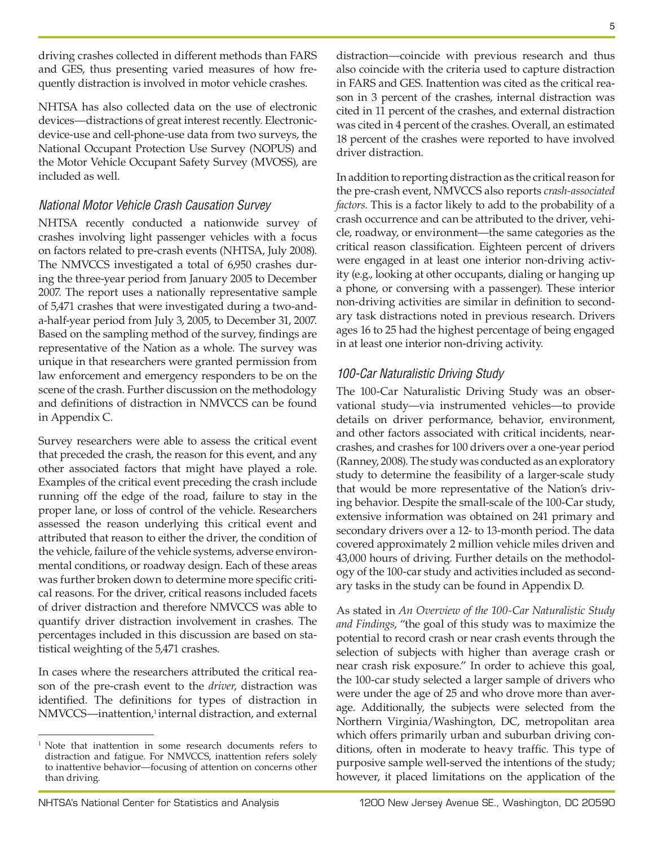driving crashes collected in different methods than FARS and GES, thus presenting varied measures of how frequently distraction is involved in motor vehicle crashes.

NHTSA has also collected data on the use of electronic devices—distractions of great interest recently. Electronicdevice-use and cell-phone-use data from two surveys, the National Occupant Protection Use Survey (NOPUS) and the Motor Vehicle Occupant Safety Survey (MVOSS), are included as well.

### *National Motor Vehicle Crash Causation Survey*

NHTSA recently conducted a nationwide survey of crashes involving light passenger vehicles with a focus on factors related to pre-crash events (NHTSA, July 2008). The NMVCCS investigated a total of 6,950 crashes during the three-year period from January 2005 to December 2007. The report uses a nationally representative sample of 5,471 crashes that were investigated during a two-anda-half-year period from July 3, 2005, to December 31, 2007. Based on the sampling method of the survey, findings are representative of the Nation as a whole. The survey was unique in that researchers were granted permission from law enforcement and emergency responders to be on the scene of the crash. Further discussion on the methodology and definitions of distraction in NMVCCS can be found in Appendix C.

Survey researchers were able to assess the critical event that preceded the crash, the reason for this event, and any other associated factors that might have played a role. Examples of the critical event preceding the crash include running off the edge of the road, failure to stay in the proper lane, or loss of control of the vehicle. Researchers assessed the reason underlying this critical event and attributed that reason to either the driver, the condition of the vehicle, failure of the vehicle systems, adverse environmental conditions, or roadway design. Each of these areas was further broken down to determine more specific critical reasons. For the driver, critical reasons included facets of driver distraction and therefore NMVCCS was able to quantify driver distraction involvement in crashes. The percentages included in this discussion are based on statistical weighting of the 5,471 crashes.

In cases where the researchers attributed the critical reason of the pre-crash event to the *driver*, distraction was identified. The definitions for types of distraction in NMVCCS—inattention,<sup>1</sup> internal distraction, and external distraction—coincide with previous research and thus also coincide with the criteria used to capture distraction in FARS and GES. Inattention was cited as the critical reason in 3 percent of the crashes, internal distraction was cited in 11 percent of the crashes, and external distraction was cited in 4 percent of the crashes. Overall, an estimated 18 percent of the crashes were reported to have involved driver distraction.

In addition to reporting distraction as the critical reason for the pre-crash event, NMVCCS also reports *crash-associated factors*. This is a factor likely to add to the probability of a crash occurrence and can be attributed to the driver, vehicle, roadway, or environment—the same categories as the critical reason classification. Eighteen percent of drivers were engaged in at least one interior non-driving activity (e.g., looking at other occupants, dialing or hanging up a phone, or conversing with a passenger). These interior non-driving activities are similar in definition to secondary task distractions noted in previous research. Drivers ages 16 to 25 had the highest percentage of being engaged in at least one interior non-driving activity.

### *100-Car Naturalistic Driving Study*

The 100-Car Naturalistic Driving Study was an observational study—via instrumented vehicles—to provide details on driver performance, behavior, environment, and other factors associated with critical incidents, nearcrashes, and crashes for 100 drivers over a one-year period (Ranney, 2008). The study was conducted as an exploratory study to determine the feasibility of a larger-scale study that would be more representative of the Nation's driving behavior. Despite the small-scale of the 100-Car study, extensive information was obtained on 241 primary and secondary drivers over a 12- to 13-month period. The data covered approximately 2 million vehicle miles driven and 43,000 hours of driving. Further details on the methodology of the 100-car study and activities included as secondary tasks in the study can be found in Appendix D.

As stated in *An Overview of the 100-Car Naturalistic Study and Findings*, "the goal of this study was to maximize the potential to record crash or near crash events through the selection of subjects with higher than average crash or near crash risk exposure." In order to achieve this goal, the 100-car study selected a larger sample of drivers who were under the age of 25 and who drove more than average. Additionally, the subjects were selected from the Northern Virginia/Washington, DC, metropolitan area which offers primarily urban and suburban driving conditions, often in moderate to heavy traffic. This type of purposive sample well-served the intentions of the study; however, it placed limitations on the application of the

<sup>&</sup>lt;sup>1</sup> Note that inattention in some research documents refers to distraction and fatigue. For NMVCCS, inattention refers solely to inattentive behavior—focusing of attention on concerns other than driving.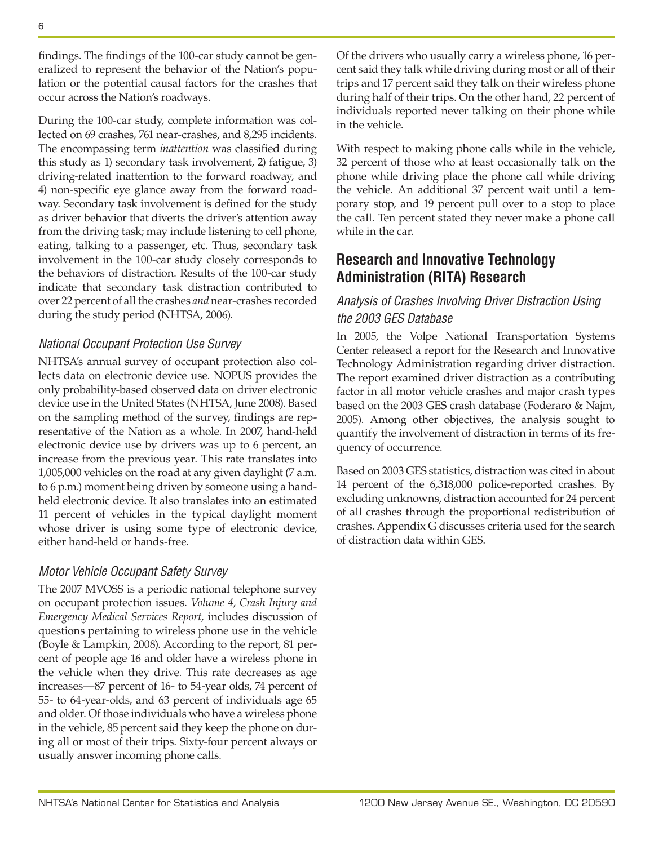findings. The findings of the 100-car study cannot be generalized to represent the behavior of the Nation's population or the potential causal factors for the crashes that occur across the Nation's roadways.

During the 100-car study, complete information was collected on 69 crashes, 761 near-crashes, and 8,295 incidents. The encompassing term *inattention* was classified during this study as 1) secondary task involvement, 2) fatigue, 3) driving-related inattention to the forward roadway, and 4) non-specific eye glance away from the forward roadway. Secondary task involvement is defined for the study as driver behavior that diverts the driver's attention away from the driving task; may include listening to cell phone, eating, talking to a passenger, etc. Thus, secondary task involvement in the 100-car study closely corresponds to the behaviors of distraction. Results of the 100-car study indicate that secondary task distraction contributed to over 22 percent of all the crashes *and* near-crashes recorded during the study period (NHTSA, 2006).

### *National Occupant Protection Use Survey*

NHTSA's annual survey of occupant protection also collects data on electronic device use. NOPUS provides the only probability-based observed data on driver electronic device use in the United States (NHTSA, June 2008). Based on the sampling method of the survey, findings are representative of the Nation as a whole. In 2007, hand-held electronic device use by drivers was up to 6 percent, an increase from the previous year. This rate translates into 1,005,000 vehicles on the road at any given daylight (7 a.m. to 6 p.m.) moment being driven by someone using a handheld electronic device. It also translates into an estimated 11 percent of vehicles in the typical daylight moment whose driver is using some type of electronic device, either hand-held or hands-free.

### *Motor Vehicle Occupant Safety Survey*

The 2007 MVOSS is a periodic national telephone survey on occupant protection issues. *Volume 4, Crash Injury and Emergency Medical Services Report,* includes discussion of questions pertaining to wireless phone use in the vehicle (Boyle & Lampkin, 2008). According to the report, 81 percent of people age 16 and older have a wireless phone in the vehicle when they drive. This rate decreases as age increases—87 percent of 16- to 54-year olds, 74 percent of 55- to 64-year-olds, and 63 percent of individuals age 65 and older. Of those individuals who have a wireless phone in the vehicle, 85 percent said they keep the phone on during all or most of their trips. Sixty-four percent always or usually answer incoming phone calls.

Of the drivers who usually carry a wireless phone, 16 percent said they talk while driving during most or all of their trips and 17 percent said they talk on their wireless phone during half of their trips. On the other hand, 22 percent of individuals reported never talking on their phone while in the vehicle.

With respect to making phone calls while in the vehicle, 32 percent of those who at least occasionally talk on the phone while driving place the phone call while driving the vehicle. An additional 37 percent wait until a temporary stop, and 19 percent pull over to a stop to place the call. Ten percent stated they never make a phone call while in the car.

# **Research and Innovative Technology Administration (RITA) Research**

# *Analysis of Crashes Involving Driver Distraction Using the 2003 GES Database*

In 2005, the Volpe National Transportation Systems Center released a report for the Research and Innovative Technology Administration regarding driver distraction. The report examined driver distraction as a contributing factor in all motor vehicle crashes and major crash types based on the 2003 GES crash database (Foderaro & Najm, 2005). Among other objectives, the analysis sought to quantify the involvement of distraction in terms of its frequency of occurrence.

Based on 2003 GES statistics, distraction was cited in about 14 percent of the 6,318,000 police-reported crashes. By excluding unknowns, distraction accounted for 24 percent of all crashes through the proportional redistribution of crashes. Appendix G discusses criteria used for the search of distraction data within GES.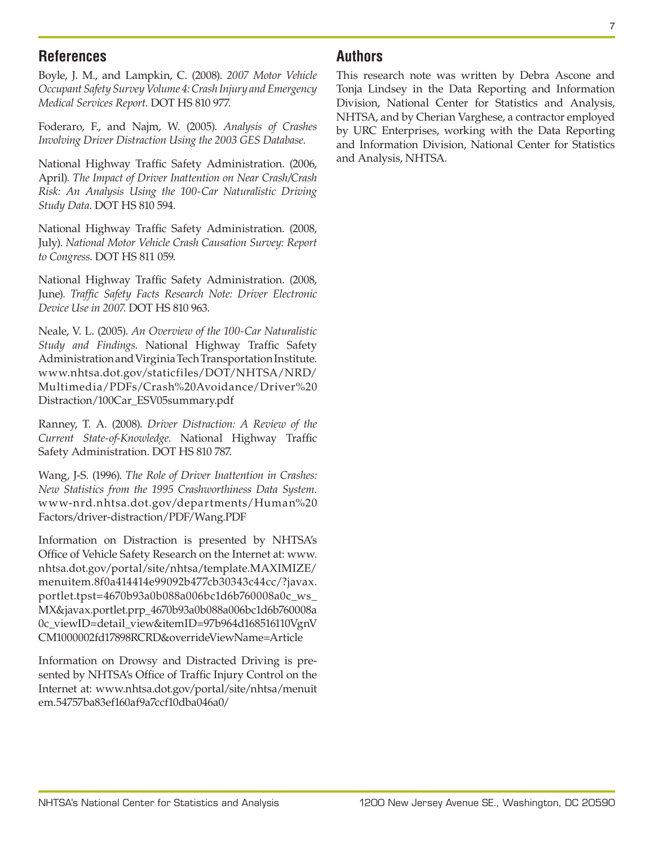## **References**

Boyle, J. M., and Lampkin, C. (2008). *2007 Motor Vehicle Occupant Safety Survey Volume 4: Crash Injury and Emergency Medical Services Report*. DOT HS 810 977.

Foderaro, F., and Najm, W. (2005). *Analysis of Crashes Involving Driver Distraction Using the 2003 GES Database*.

National Highway Traffic Safety Administration. (2006, April). *The Impact of Driver Inattention on Near Crash/Crash Risk: An Analysis Using the 100-Car Naturalistic Driving Study Data*. DOT HS 810 594.

National Highway Traffic Safety Administration. (2008, July). *National Motor Vehicle Crash Causation Survey: Report to Congress*. DOT HS 811 059.

National Highway Traffic Safety Administration. (2008, June). *Traffic Safety Facts Research Note: Driver Electronic Device Use in 2007*. DOT HS 810 963.

Neale, V. L. (2005). *An Overview of the 100-Car Naturalistic Study and Findings*. National Highway Traffic Safety Administration and Virginia Tech Transportation Institute. [www.nhtsa.dot.gov/staticfiles/DOT/NHTSA/NRD/](http://www.nhtsa.dot.gov/staticfiles/DOT/NHTSA/NRD/Multimedia/PDFs/Crash Avoidance/Driver Distraction/100Car_ESV05summary.pdf) [Multimedia/PDFs/Crash%20Avoidance/Driver%20](http://www.nhtsa.dot.gov/staticfiles/DOT/NHTSA/NRD/Multimedia/PDFs/Crash Avoidance/Driver Distraction/100Car_ESV05summary.pdf) [Distraction/100Car\\_ESV05summary.pdf](http://www.nhtsa.dot.gov/staticfiles/DOT/NHTSA/NRD/Multimedia/PDFs/Crash Avoidance/Driver Distraction/100Car_ESV05summary.pdf)

Ranney, T. A. (2008). *Driver Distraction: A Review of the Current State-of-Knowledge*. National Highway Traffic Safety Administration. DOT HS 810 787.

Wang, J-S. (1996). *The Role of Driver Inattention in Crashes: New Statistics from the 1995 Crashworthiness Data System*. [www-nrd.nhtsa.dot.gov/departments/Human%20](http://www-nrd.nhtsa.dot.gov/departments/Human Factors/driver-distraction/PDF/Wang.PDF) [Factors/driver-distraction/PDF/Wang.PDF](http://www-nrd.nhtsa.dot.gov/departments/Human Factors/driver-distraction/PDF/Wang.PDF)

Information on Distraction is presented by NHTSA's Office of Vehicle Safety Research on the Internet at: [www.](http://www.nhtsa.dot.gov/portal/site/nhtsa/template.MAXIMIZE/menuitem.8f0a414414e99092b477cb30343c44cc/?javax.portlet.tpst=4670b93a0b088a006bc1d6b760008a0c_ws_MX&javax.portlet.prp_4670b93a0b088a006bc1d6b760008a0c_viewID=detail_view&itemID=97b964d168516110VgnVCM1000002fd17898RCRD&overrideViewName=Article) [nhtsa.dot.gov/portal/site/nhtsa/template.MAXIMIZE/](http://www.nhtsa.dot.gov/portal/site/nhtsa/template.MAXIMIZE/menuitem.8f0a414414e99092b477cb30343c44cc/?javax.portlet.tpst=4670b93a0b088a006bc1d6b760008a0c_ws_MX&javax.portlet.prp_4670b93a0b088a006bc1d6b760008a0c_viewID=detail_view&itemID=97b964d168516110VgnVCM1000002fd17898RCRD&overrideViewName=Article) [menuitem.8f0a414414e99092b477cb30343c44cc/?javax.](http://www.nhtsa.dot.gov/portal/site/nhtsa/template.MAXIMIZE/menuitem.8f0a414414e99092b477cb30343c44cc/?javax.portlet.tpst=4670b93a0b088a006bc1d6b760008a0c_ws_MX&javax.portlet.prp_4670b93a0b088a006bc1d6b760008a0c_viewID=detail_view&itemID=97b964d168516110VgnVCM1000002fd17898RCRD&overrideViewName=Article) [portlet.tpst=4670b93a0b088a006bc1d6b760008a0c\\_ws\\_](http://www.nhtsa.dot.gov/portal/site/nhtsa/template.MAXIMIZE/menuitem.8f0a414414e99092b477cb30343c44cc/?javax.portlet.tpst=4670b93a0b088a006bc1d6b760008a0c_ws_MX&javax.portlet.prp_4670b93a0b088a006bc1d6b760008a0c_viewID=detail_view&itemID=97b964d168516110VgnVCM1000002fd17898RCRD&overrideViewName=Article) [MX&javax.portlet.prp\\_4670b93a0b088a006bc1d6b760008a](http://www.nhtsa.dot.gov/portal/site/nhtsa/template.MAXIMIZE/menuitem.8f0a414414e99092b477cb30343c44cc/?javax.portlet.tpst=4670b93a0b088a006bc1d6b760008a0c_ws_MX&javax.portlet.prp_4670b93a0b088a006bc1d6b760008a0c_viewID=detail_view&itemID=97b964d168516110VgnVCM1000002fd17898RCRD&overrideViewName=Article) [0c\\_viewID=detail\\_view&itemID=97b964d168516110VgnV](http://www.nhtsa.dot.gov/portal/site/nhtsa/template.MAXIMIZE/menuitem.8f0a414414e99092b477cb30343c44cc/?javax.portlet.tpst=4670b93a0b088a006bc1d6b760008a0c_ws_MX&javax.portlet.prp_4670b93a0b088a006bc1d6b760008a0c_viewID=detail_view&itemID=97b964d168516110VgnVCM1000002fd17898RCRD&overrideViewName=Article) [CM1000002fd17898RCRD&overrideViewName=Article](http://www.nhtsa.dot.gov/portal/site/nhtsa/template.MAXIMIZE/menuitem.8f0a414414e99092b477cb30343c44cc/?javax.portlet.tpst=4670b93a0b088a006bc1d6b760008a0c_ws_MX&javax.portlet.prp_4670b93a0b088a006bc1d6b760008a0c_viewID=detail_view&itemID=97b964d168516110VgnVCM1000002fd17898RCRD&overrideViewName=Article)

Information on Drowsy and Distracted Driving is presented by NHTSA's Office of Traffic Injury Control on the Internet at: [www.nhtsa.dot.gov/portal/site/nhtsa/menuit](http://www.nhtsa.dot.gov/portal/site/nhtsa/menuitem.54757ba83ef160af9a7ccf10dba046a0/) [em.54757ba83ef160af9a7ccf10dba046a0/](http://www.nhtsa.dot.gov/portal/site/nhtsa/menuitem.54757ba83ef160af9a7ccf10dba046a0/)

# **Authors**

This research note was written by Debra Ascone and Tonja Lindsey in the Data Reporting and Information Division, National Center for Statistics and Analysis, NHTSA, and by Cherian Varghese, a contractor employed by URC Enterprises, working with the Data Reporting and Information Division, National Center for Statistics and Analysis, NHTSA.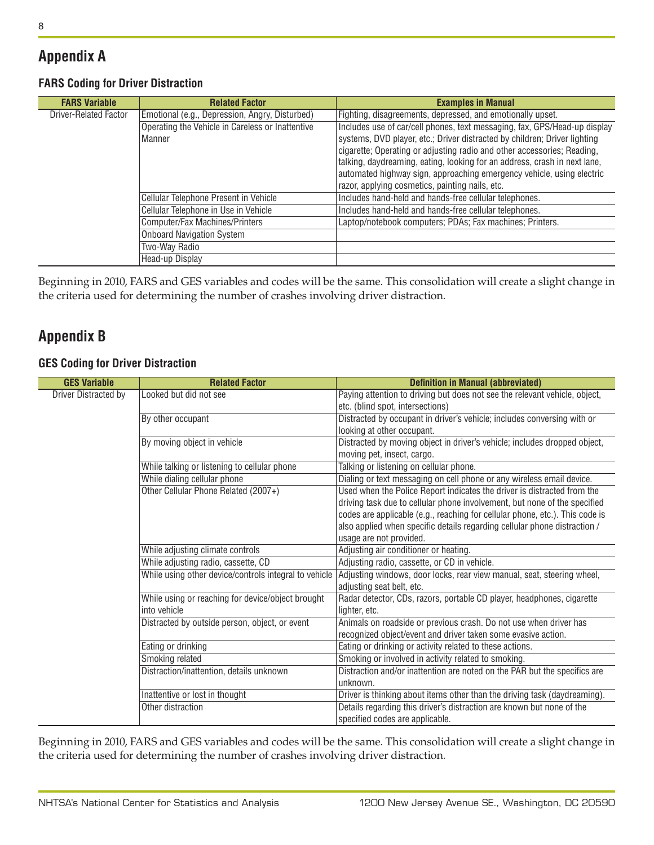# **Appendix A**

### **FARS Coding for Driver Distraction**

| <b>FARS Variable</b>         | <b>Related Factor</b>                            | <b>Examples in Manual</b>                                                 |
|------------------------------|--------------------------------------------------|---------------------------------------------------------------------------|
| <b>Driver-Related Factor</b> | Emotional (e.g., Depression, Angry, Disturbed)   | Fighting, disagreements, depressed, and emotionally upset.                |
|                              | Operating the Vehicle in Careless or Inattentive | Includes use of car/cell phones, text messaging, fax, GPS/Head-up display |
|                              | Manner                                           | systems, DVD player, etc.; Driver distracted by children; Driver lighting |
|                              |                                                  | cigarette; Operating or adjusting radio and other accessories; Reading,   |
|                              |                                                  | talking, daydreaming, eating, looking for an address, crash in next lane, |
|                              |                                                  | automated highway sign, approaching emergency vehicle, using electric     |
|                              |                                                  | razor, applying cosmetics, painting nails, etc.                           |
|                              | Cellular Telephone Present in Vehicle            | Includes hand-held and hands-free cellular telephones.                    |
|                              | Cellular Telephone in Use in Vehicle             | Includes hand-held and hands-free cellular telephones.                    |
|                              | Computer/Fax Machines/Printers                   | Laptop/notebook computers; PDAs; Fax machines; Printers.                  |
|                              | <b>Onboard Navigation System</b>                 |                                                                           |
|                              | Two-Way Radio                                    |                                                                           |
|                              | Head-up Display                                  |                                                                           |

Beginning in 2010, FARS and GES variables and codes will be the same. This consolidation will create a slight change in the criteria used for determining the number of crashes involving driver distraction.

# **Appendix B**

### **GES Coding for Driver Distraction**

| <b>GES Variable</b>  | <b>Related Factor</b>                                 | <b>Definition in Manual (abbreviated)</b>                                    |
|----------------------|-------------------------------------------------------|------------------------------------------------------------------------------|
| Driver Distracted by | Looked but did not see                                | Paying attention to driving but does not see the relevant vehicle, object,   |
|                      |                                                       | etc. (blind spot, intersections)                                             |
|                      | By other occupant                                     | Distracted by occupant in driver's vehicle; includes conversing with or      |
|                      |                                                       | looking at other occupant.                                                   |
|                      | By moving object in vehicle                           | Distracted by moving object in driver's vehicle; includes dropped object,    |
|                      |                                                       | moving pet, insect, cargo.                                                   |
|                      | While talking or listening to cellular phone          | Talking or listening on cellular phone.                                      |
|                      | While dialing cellular phone                          | Dialing or text messaging on cell phone or any wireless email device.        |
|                      | Other Cellular Phone Related (2007+)                  | Used when the Police Report indicates the driver is distracted from the      |
|                      |                                                       | driving task due to cellular phone involvement, but none of the specified    |
|                      |                                                       | codes are applicable (e.g., reaching for cellular phone, etc.). This code is |
|                      |                                                       | also applied when specific details regarding cellular phone distraction /    |
|                      |                                                       | usage are not provided.                                                      |
|                      | While adjusting climate controls                      | Adjusting air conditioner or heating.                                        |
|                      | While adjusting radio, cassette, CD                   | Adjusting radio, cassette, or CD in vehicle.                                 |
|                      | While using other device/controls integral to vehicle | Adjusting windows, door locks, rear view manual, seat, steering wheel,       |
|                      |                                                       | adjusting seat belt, etc.                                                    |
|                      | While using or reaching for device/object brought     | Radar detector, CDs, razors, portable CD player, headphones, cigarette       |
|                      | into vehicle                                          | lighter, etc.                                                                |
|                      | Distracted by outside person, object, or event        | Animals on roadside or previous crash. Do not use when driver has            |
|                      |                                                       | recognized object/event and driver taken some evasive action.                |
|                      | Eating or drinking                                    | Eating or drinking or activity related to these actions.                     |
|                      | Smoking related                                       | Smoking or involved in activity related to smoking.                          |
|                      | Distraction/inattention, details unknown              | Distraction and/or inattention are noted on the PAR but the specifics are    |
|                      |                                                       | unknown.                                                                     |
|                      | Inattentive or lost in thought                        | Driver is thinking about items other than the driving task (daydreaming).    |
|                      | Other distraction                                     | Details regarding this driver's distraction are known but none of the        |
|                      |                                                       | specified codes are applicable.                                              |

Beginning in 2010, FARS and GES variables and codes will be the same. This consolidation will create a slight change in the criteria used for determining the number of crashes involving driver distraction.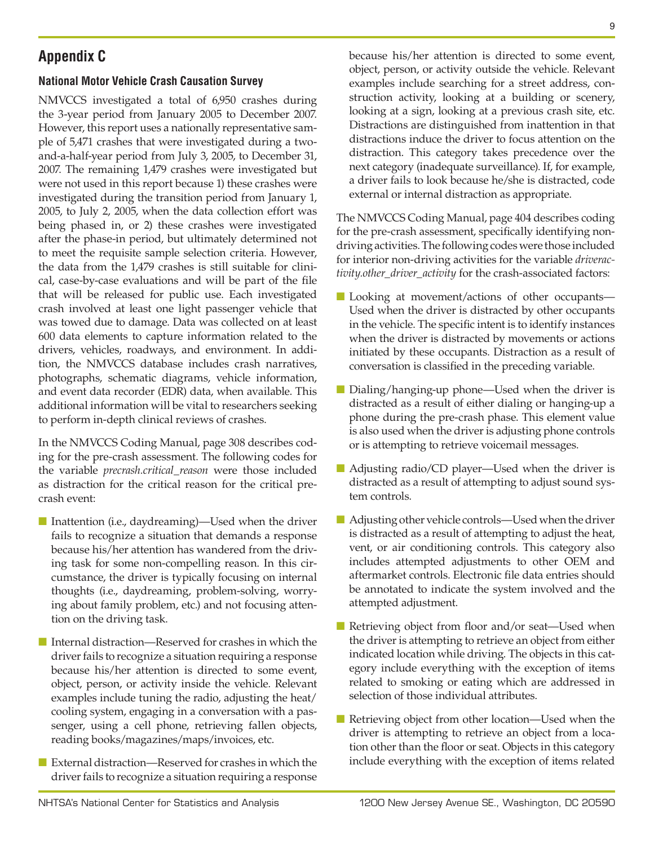# **Appendix C**

### **National Motor Vehicle Crash Causation Survey**

NMVCCS investigated a total of 6,950 crashes during the 3-year period from January 2005 to December 2007. However, this report uses a nationally representative sample of 5,471 crashes that were investigated during a twoand-a-half-year period from July 3, 2005, to December 31, 2007. The remaining 1,479 crashes were investigated but were not used in this report because 1) these crashes were investigated during the transition period from January 1, 2005, to July 2, 2005, when the data collection effort was being phased in, or 2) these crashes were investigated after the phase-in period, but ultimately determined not to meet the requisite sample selection criteria. However, the data from the 1,479 crashes is still suitable for clinical, case-by-case evaluations and will be part of the file that will be released for public use. Each investigated crash involved at least one light passenger vehicle that was towed due to damage. Data was collected on at least 600 data elements to capture information related to the drivers, vehicles, roadways, and environment. In addition, the NMVCCS database includes crash narratives, photographs, schematic diagrams, vehicle information, and event data recorder (EDR) data, when available. This additional information will be vital to researchers seeking to perform in-depth clinical reviews of crashes.

In the NMVCCS Coding Manual, page 308 describes coding for the pre-crash assessment. The following codes for the variable *precrash.critical\_reason* were those included as distraction for the critical reason for the critical precrash event:

- Inattention (i.e., daydreaming)—Used when the driver fails to recognize a situation that demands a response because his/her attention has wandered from the driving task for some non-compelling reason. In this circumstance, the driver is typically focusing on internal thoughts (i.e., daydreaming, problem-solving, worrying about family problem, etc.) and not focusing attention on the driving task.
- Internal distraction—Reserved for crashes in which the driver fails to recognize a situation requiring a response because his/her attention is directed to some event, object, person, or activity inside the vehicle. Relevant examples include tuning the radio, adjusting the heat/ cooling system, engaging in a conversation with a passenger, using a cell phone, retrieving fallen objects, reading books/magazines/maps/invoices, etc.
- External distraction—Reserved for crashes in which the driver fails to recognize a situation requiring a response

because his/her attention is directed to some event, object, person, or activity outside the vehicle. Relevant examples include searching for a street address, construction activity, looking at a building or scenery, looking at a sign, looking at a previous crash site, etc. Distractions are distinguished from inattention in that distractions induce the driver to focus attention on the distraction. This category takes precedence over the next category (inadequate surveillance). If, for example, a driver fails to look because he/she is distracted, code external or internal distraction as appropriate.

The NMVCCS Coding Manual, page 404 describes coding for the pre-crash assessment, specifically identifying nondriving activities. The following codes were those included for interior non-driving activities for the variable *driveractivity.other\_driver\_activity* for the crash-associated factors:

- Looking at movement/actions of other occupants— Used when the driver is distracted by other occupants in the vehicle. The specific intent is to identify instances when the driver is distracted by movements or actions initiated by these occupants. Distraction as a result of conversation is classified in the preceding variable.
- Dialing/hanging-up phone—Used when the driver is distracted as a result of either dialing or hanging-up a phone during the pre-crash phase. This element value is also used when the driver is adjusting phone controls or is attempting to retrieve voicemail messages.
- Adjusting radio/CD player—Used when the driver is distracted as a result of attempting to adjust sound system controls.
- Adjusting other vehicle controls—Used when the driver is distracted as a result of attempting to adjust the heat, vent, or air conditioning controls. This category also includes attempted adjustments to other OEM and aftermarket controls. Electronic file data entries should be annotated to indicate the system involved and the attempted adjustment.
- Retrieving object from floor and/or seat—Used when the driver is attempting to retrieve an object from either indicated location while driving. The objects in this category include everything with the exception of items related to smoking or eating which are addressed in selection of those individual attributes.
- Retrieving object from other location—Used when the driver is attempting to retrieve an object from a location other than the floor or seat. Objects in this category include everything with the exception of items related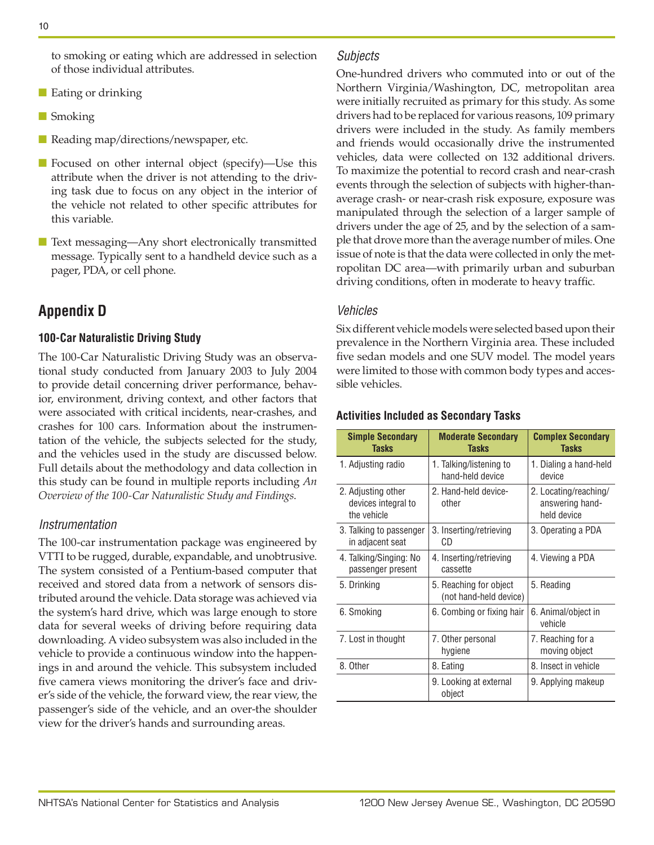to smoking or eating which are addressed in selection of those individual attributes.

- Eating or drinking
- Smoking
- Reading map/directions/newspaper, etc.
- Focused on other internal object (specify)—Use this attribute when the driver is not attending to the driving task due to focus on any object in the interior of the vehicle not related to other specific attributes for this variable.
- Text messaging—Any short electronically transmitted message. Typically sent to a handheld device such as a pager, PDA, or cell phone.

# **Appendix D**

### **100-Car Naturalistic Driving Study**

The 100-Car Naturalistic Driving Study was an observational study conducted from January 2003 to July 2004 to provide detail concerning driver performance, behavior, environment, driving context, and other factors that were associated with critical incidents, near-crashes, and crashes for 100 cars. Information about the instrumentation of the vehicle, the subjects selected for the study, and the vehicles used in the study are discussed below. Full details about the methodology and data collection in this study can be found in multiple reports including *An Overview of the 100-Car Naturalistic Study and Findings*.

#### *Instrumentation*

The 100-car instrumentation package was engineered by VTTI to be rugged, durable, expandable, and unobtrusive. The system consisted of a Pentium-based computer that received and stored data from a network of sensors distributed around the vehicle. Data storage was achieved via the system's hard drive, which was large enough to store data for several weeks of driving before requiring data downloading. A video subsystem was also included in the vehicle to provide a continuous window into the happenings in and around the vehicle. This subsystem included five camera views monitoring the driver's face and driver's side of the vehicle, the forward view, the rear view, the passenger's side of the vehicle, and an over-the shoulder view for the driver's hands and surrounding areas.

### *Subjects*

One-hundred drivers who commuted into or out of the Northern Virginia/Washington, DC, metropolitan area were initially recruited as primary for this study. As some drivers had to be replaced for various reasons, 109 primary drivers were included in the study. As family members and friends would occasionally drive the instrumented vehicles, data were collected on 132 additional drivers. To maximize the potential to record crash and near-crash events through the selection of subjects with higher-thanaverage crash- or near-crash risk exposure, exposure was manipulated through the selection of a larger sample of drivers under the age of 25, and by the selection of a sample that drove more than the average number of miles. One issue of note is that the data were collected in only the metropolitan DC area—with primarily urban and suburban driving conditions, often in moderate to heavy traffic.

### *Vehicles*

Six different vehicle models were selected based upon their prevalence in the Northern Virginia area. These included five sedan models and one SUV model. The model years were limited to those with common body types and accessible vehicles.

#### **Activities Included as Secondary Tasks**

| <b>Simple Secondary</b><br><b>Tasks</b>                  | <b>Moderate Secondary</b><br><b>Tasks</b>        | <b>Complex Secondary</b><br><b>Tasks</b>                |
|----------------------------------------------------------|--------------------------------------------------|---------------------------------------------------------|
| 1. Adjusting radio                                       | 1. Talking/listening to<br>hand-held device      | 1. Dialing a hand-held<br>device                        |
| 2. Adjusting other<br>devices integral to<br>the vehicle | 2. Hand-held device-<br>other                    | 2. Locating/reaching/<br>answering hand-<br>held device |
| 3. Talking to passenger<br>in adjacent seat              | 3. Inserting/retrieving<br>CD                    | 3. Operating a PDA                                      |
| 4. Talking/Singing: No<br>passenger present              | 4. Inserting/retrieving<br>cassette              | 4. Viewing a PDA                                        |
| 5. Drinking                                              | 5. Reaching for object<br>(not hand-held device) | 5. Reading                                              |
| 6. Smoking                                               | 6. Combing or fixing hair                        | 6. Animal/object in<br>vehicle                          |
| 7. Lost in thought                                       | 7. Other personal<br>hygiene                     | 7. Reaching for a<br>moving object                      |
| 8. Other                                                 | 8. Eating                                        | 8. Insect in vehicle                                    |
|                                                          | 9. Looking at external<br>object                 | 9. Applying makeup                                      |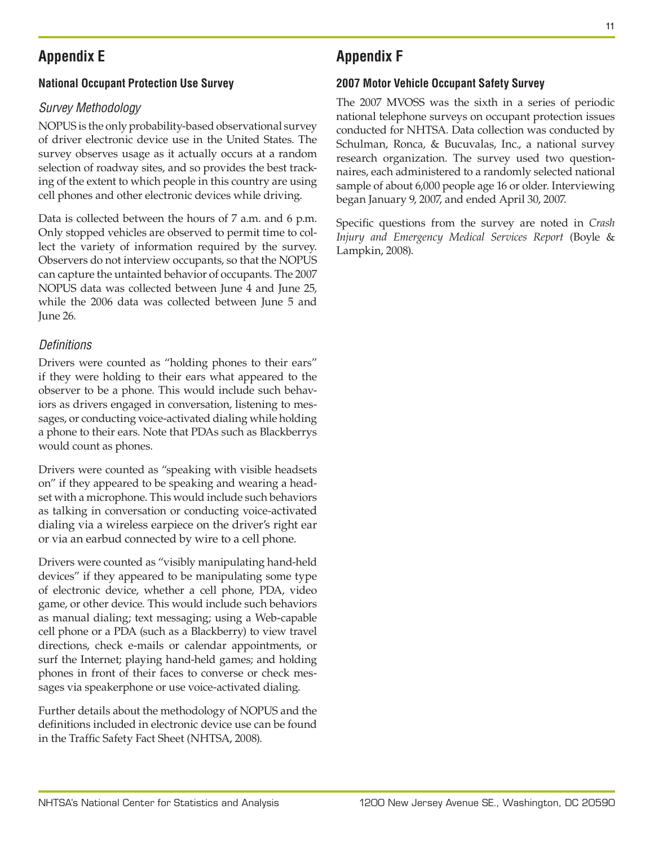# **Appendix E**

### **National Occupant Protection Use Survey**

## *Survey Methodology*

NOPUS is the only probability-based observational survey of driver electronic device use in the United States. The survey observes usage as it actually occurs at a random selection of roadway sites, and so provides the best tracking of the extent to which people in this country are using cell phones and other electronic devices while driving.

Data is collected between the hours of 7 a.m. and 6 p.m. Only stopped vehicles are observed to permit time to collect the variety of information required by the survey. Observers do not interview occupants, so that the NOPUS can capture the untainted behavior of occupants. The 2007 NOPUS data was collected between June 4 and June 25, while the 2006 data was collected between June 5 and June 26.

### *Definitions*

Drivers were counted as "holding phones to their ears" if they were holding to their ears what appeared to the observer to be a phone. This would include such behaviors as drivers engaged in conversation, listening to messages, or conducting voice-activated dialing while holding a phone to their ears. Note that PDAs such as Blackberrys would count as phones.

Drivers were counted as "speaking with visible headsets on" if they appeared to be speaking and wearing a headset with a microphone. This would include such behaviors as talking in conversation or conducting voice-activated dialing via a wireless earpiece on the driver's right ear or via an earbud connected by wire to a cell phone.

Drivers were counted as "visibly manipulating hand-held devices" if they appeared to be manipulating some type of electronic device, whether a cell phone, PDA, video game, or other device. This would include such behaviors as manual dialing; text messaging; using a Web-capable cell phone or a PDA (such as a Blackberry) to view travel directions, check e-mails or calendar appointments, or surf the Internet; playing hand-held games; and holding phones in front of their faces to converse or check messages via speakerphone or use voice-activated dialing.

Further details about the methodology of NOPUS and the definitions included in electronic device use can be found in the Traffic Safety Fact Sheet (NHTSA, 2008).

# **Appendix F**

### **2007 Motor Vehicle Occupant Safety Survey**

The 2007 MVOSS was the sixth in a series of periodic national telephone surveys on occupant protection issues conducted for NHTSA. Data collection was conducted by Schulman, Ronca, & Bucuvalas, Inc., a national survey research organization. The survey used two questionnaires, each administered to a randomly selected national sample of about 6,000 people age 16 or older. Interviewing began January 9, 2007, and ended April 30, 2007.

Specific questions from the survey are noted in *Crash Injury and Emergency Medical Services Report* (Boyle & Lampkin, 2008).